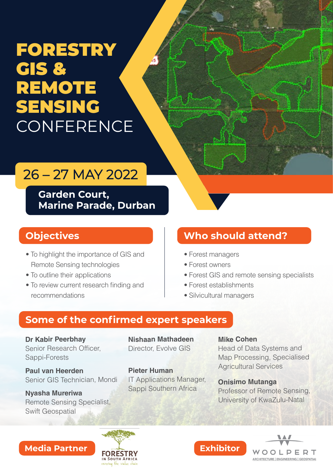# FORESTRY GIS & **REMOTE**  SENSING **CONFERENCE**

# 26 – 27 MAY 2022

**Garden Court, Marine Parade, Durban** 

### **Objectives**

- To highlight the importance of GIS and Remote Sensing technologies
- To outline their applications
- To review current research finding and recommendations

## **Who should attend?**

- Forest managers
- Forest owners
- Forest GIS and remote sensing specialists
- $\bullet$  Forest establishments
- Silvicultural managers

### **Some of the confirmed expert speakers**

**Dr Kabir Peerbhay** Senior Research Officer. Sappi-Forests

**Paul van Heerden** Senior GIS Technician, Mondi

**Nyasha Mureriwa** Sappi Southern Africa Remote Sensing Specialist, Swift Geospatial

**Nishaan Mathadeen** Director, Evolve GIS

**Pieter Human** IT Applications Manager, **Mike Cohen** Head of Data Systems and Map Processing, Specialised **Agricultural Services** 

**Onisimo Mutanga** Professor of Remote Sensing, University of KwaZulu-Natal

### **Media Partner Mateural Media Partner Media Partner Media And Media Partner**



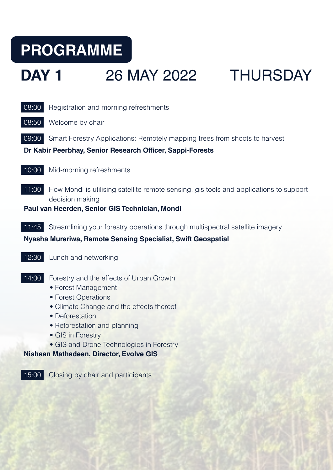# **PROGRAMME**

# **DAY 1 26 MAY 2022 THURSDAY**



08:50 Welcome by chair

**09:00** Smart Forestry Applications: Remotely mapping trees from shoots to harvest

#### **Dr Kabir Peerbhay, Senior Research Officer, Sappi-Forests**

10:00 Mid-morning refreshments

11:00 How Mondi is utilising satellite remote sensing, gis tools and applications to support decision making

**Paul van Heerden, Senior GIS Technician, Mondi** 

11:45 Streamlining your forestry operations through multispectral satellite imagery

### **Nyasha Mureriwa, Remote Sensing Specialist, Swift Geospatial**

- 12:30 Lunch and networking
- 14:00 Forestry and the effects of Urban Growth
	- Forest Management
	- Forest Operations
	- Climate Change and the effects thereof
	- Deforestation
	- Reforestation and planning
	- GIS in Forestry
	- GIS and Drone Technologies in Forestry

### **Nishaan Mathadeen, Director, Evolve GIS**

15:00 Closing by chair and participants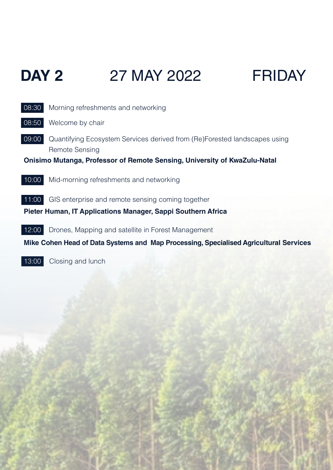# **DAY 2** 27 MAY 2022 FRIDAY



13:00 Closing and lunch